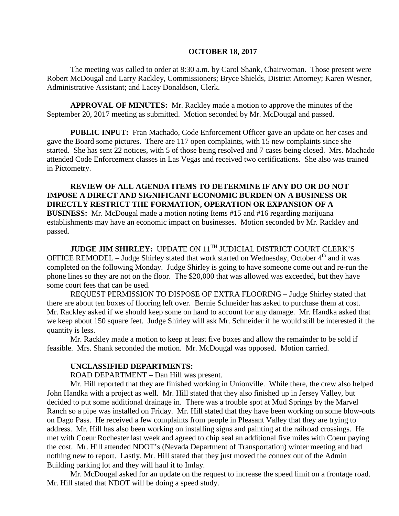#### **OCTOBER 18, 2017**

The meeting was called to order at 8:30 a.m. by Carol Shank, Chairwoman. Those present were Robert McDougal and Larry Rackley, Commissioners; Bryce Shields, District Attorney; Karen Wesner, Administrative Assistant; and Lacey Donaldson, Clerk.

**APPROVAL OF MINUTES:** Mr. Rackley made a motion to approve the minutes of the September 20, 2017 meeting as submitted. Motion seconded by Mr. McDougal and passed.

 **PUBLIC INPUT:** Fran Machado, Code Enforcement Officer gave an update on her cases and gave the Board some pictures. There are 117 open complaints, with 15 new complaints since she started. She has sent 22 notices, with 5 of those being resolved and 7 cases being closed. Mrs. Machado attended Code Enforcement classes in Las Vegas and received two certifications. She also was trained in Pictometry.

**REVIEW OF ALL AGENDA ITEMS TO DETERMINE IF ANY DO OR DO NOT IMPOSE A DIRECT AND SIGNIFICANT ECONOMIC BURDEN ON A BUSINESS OR DIRECTLY RESTRICT THE FORMATION, OPERATION OR EXPANSION OF A BUSINESS:** Mr. McDougal made a motion noting Items #15 and #16 regarding marijuana establishments may have an economic impact on businesses. Motion seconded by Mr. Rackley and passed.

**JUDGE JIM SHIRLEY:** UPDATE ON 11<sup>TH</sup> JUDICIAL DISTRICT COURT CLERK'S OFFICE REMODEL – Judge Shirley stated that work started on Wednesday, October 4<sup>th</sup> and it was completed on the following Monday. Judge Shirley is going to have someone come out and re-run the phone lines so they are not on the floor. The \$20,000 that was allowed was exceeded, but they have some court fees that can be used.

REQUEST PERMISSION TO DISPOSE OF EXTRA FLOORING – Judge Shirley stated that there are about ten boxes of flooring left over. Bernie Schneider has asked to purchase them at cost. Mr. Rackley asked if we should keep some on hand to account for any damage. Mr. Handka asked that we keep about 150 square feet. Judge Shirley will ask Mr. Schneider if he would still be interested if the quantity is less.

Mr. Rackley made a motion to keep at least five boxes and allow the remainder to be sold if feasible. Mrs. Shank seconded the motion. Mr. McDougal was opposed. Motion carried.

#### **UNCLASSIFIED DEPARTMENTS:**

ROAD DEPARTMENT – Dan Hill was present.

Mr. Hill reported that they are finished working in Unionville. While there, the crew also helped John Handka with a project as well. Mr. Hill stated that they also finished up in Jersey Valley, but decided to put some additional drainage in. There was a trouble spot at Mud Springs by the Marvel Ranch so a pipe was installed on Friday. Mr. Hill stated that they have been working on some blow-outs on Dago Pass. He received a few complaints from people in Pleasant Valley that they are trying to address. Mr. Hill has also been working on installing signs and painting at the railroad crossings. He met with Coeur Rochester last week and agreed to chip seal an additional five miles with Coeur paying the cost. Mr. Hill attended NDOT's (Nevada Department of Transportation) winter meeting and had nothing new to report. Lastly, Mr. Hill stated that they just moved the connex out of the Admin Building parking lot and they will haul it to Imlay.

Mr. McDougal asked for an update on the request to increase the speed limit on a frontage road. Mr. Hill stated that NDOT will be doing a speed study.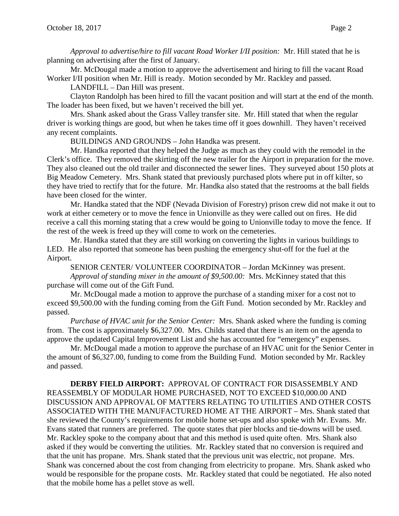*Approval to advertise/hire to fill vacant Road Worker I/II position:* Mr. Hill stated that he is planning on advertising after the first of January.

Mr. McDougal made a motion to approve the advertisement and hiring to fill the vacant Road Worker I/II position when Mr. Hill is ready. Motion seconded by Mr. Rackley and passed.

LANDFILL – Dan Hill was present.

Clayton Randolph has been hired to fill the vacant position and will start at the end of the month. The loader has been fixed, but we haven't received the bill yet.

Mrs. Shank asked about the Grass Valley transfer site. Mr. Hill stated that when the regular driver is working things are good, but when he takes time off it goes downhill. They haven't received any recent complaints.

BUILDINGS AND GROUNDS – John Handka was present.

Mr. Handka reported that they helped the Judge as much as they could with the remodel in the Clerk's office. They removed the skirting off the new trailer for the Airport in preparation for the move. They also cleaned out the old trailer and disconnected the sewer lines. They surveyed about 150 plots at Big Meadow Cemetery. Mrs. Shank stated that previously purchased plots where put in off kilter, so they have tried to rectify that for the future. Mr. Handka also stated that the restrooms at the ball fields have been closed for the winter.

Mr. Handka stated that the NDF (Nevada Division of Forestry) prison crew did not make it out to work at either cemetery or to move the fence in Unionville as they were called out on fires. He did receive a call this morning stating that a crew would be going to Unionville today to move the fence. If the rest of the week is freed up they will come to work on the cemeteries.

Mr. Handka stated that they are still working on converting the lights in various buildings to LED. He also reported that someone has been pushing the emergency shut-off for the fuel at the Airport.

SENIOR CENTER/ VOLUNTEER COORDINATOR – Jordan McKinney was present. *Approval of standing mixer in the amount of \$9,500.00:* Mrs. McKinney stated that this purchase will come out of the Gift Fund.

Mr. McDougal made a motion to approve the purchase of a standing mixer for a cost not to exceed \$9,500.00 with the funding coming from the Gift Fund. Motion seconded by Mr. Rackley and passed.

*Purchase of HVAC unit for the Senior Center:* Mrs. Shank asked where the funding is coming from. The cost is approximately \$6,327.00. Mrs. Childs stated that there is an item on the agenda to approve the updated Capital Improvement List and she has accounted for "emergency" expenses.

Mr. McDougal made a motion to approve the purchase of an HVAC unit for the Senior Center in the amount of \$6,327.00, funding to come from the Building Fund. Motion seconded by Mr. Rackley and passed.

**DERBY FIELD AIRPORT:** APPROVAL OF CONTRACT FOR DISASSEMBLY AND REASSEMBLY OF MODULAR HOME PURCHASED, NOT TO EXCEED \$10,000.00 AND DISCUSSION AND APPROVAL OF MATTERS RELATING TO UTILITIES AND OTHER COSTS ASSOCIATED WITH THE MANUFACTURED HOME AT THE AIRPORT – Mrs. Shank stated that she reviewed the County's requirements for mobile home set-ups and also spoke with Mr. Evans. Mr. Evans stated that runners are preferred. The quote states that pier blocks and tie-downs will be used. Mr. Rackley spoke to the company about that and this method is used quite often. Mrs. Shank also asked if they would be converting the utilities. Mr. Rackley stated that no conversion is required and that the unit has propane. Mrs. Shank stated that the previous unit was electric, not propane. Mrs. Shank was concerned about the cost from changing from electricity to propane. Mrs. Shank asked who would be responsible for the propane costs. Mr. Rackley stated that could be negotiated. He also noted that the mobile home has a pellet stove as well.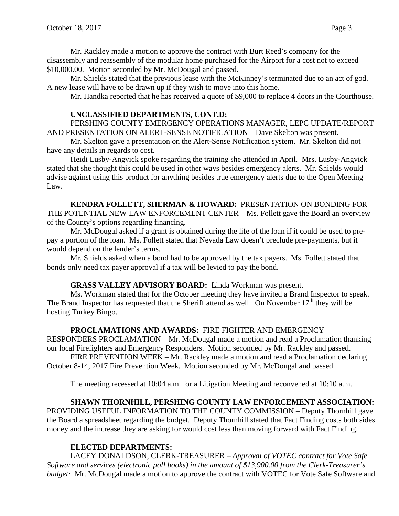Mr. Rackley made a motion to approve the contract with Burt Reed's company for the disassembly and reassembly of the modular home purchased for the Airport for a cost not to exceed \$10,000.00. Motion seconded by Mr. McDougal and passed.

Mr. Shields stated that the previous lease with the McKinney's terminated due to an act of god. A new lease will have to be drawn up if they wish to move into this home.

Mr. Handka reported that he has received a quote of \$9,000 to replace 4 doors in the Courthouse.

### **UNCLASSIFIED DEPARTMENTS, CONT.D:**

PERSHING COUNTY EMERGENCY OPERATIONS MANAGER, LEPC UPDATE/REPORT AND PRESENTATION ON ALERT-SENSE NOTIFICATION – Dave Skelton was present.

Mr. Skelton gave a presentation on the Alert-Sense Notification system. Mr. Skelton did not have any details in regards to cost.

Heidi Lusby-Angvick spoke regarding the training she attended in April. Mrs. Lusby-Angvick stated that she thought this could be used in other ways besides emergency alerts. Mr. Shields would advise against using this product for anything besides true emergency alerts due to the Open Meeting Law.

**KENDRA FOLLETT, SHERMAN & HOWARD:** PRESENTATION ON BONDING FOR THE POTENTIAL NEW LAW ENFORCEMENT CENTER – Ms. Follett gave the Board an overview of the County's options regarding financing.

Mr. McDougal asked if a grant is obtained during the life of the loan if it could be used to prepay a portion of the loan. Ms. Follett stated that Nevada Law doesn't preclude pre-payments, but it would depend on the lender's terms.

Mr. Shields asked when a bond had to be approved by the tax payers. Ms. Follett stated that bonds only need tax payer approval if a tax will be levied to pay the bond.

### **GRASS VALLEY ADVISORY BOARD:** Linda Workman was present.

Ms. Workman stated that for the October meeting they have invited a Brand Inspector to speak. The Brand Inspector has requested that the Sheriff attend as well. On November  $17<sup>th</sup>$  they will be hosting Turkey Bingo.

# **PROCLAMATIONS AND AWARDS:** FIRE FIGHTER AND EMERGENCY

RESPONDERS PROCLAMATION – Mr. McDougal made a motion and read a Proclamation thanking our local Firefighters and Emergency Responders. Motion seconded by Mr. Rackley and passed.

FIRE PREVENTION WEEK – Mr. Rackley made a motion and read a Proclamation declaring October 8-14, 2017 Fire Prevention Week. Motion seconded by Mr. McDougal and passed.

The meeting recessed at 10:04 a.m. for a Litigation Meeting and reconvened at 10:10 a.m.

# **SHAWN THORNHILL, PERSHING COUNTY LAW ENFORCEMENT ASSOCIATION:**

PROVIDING USEFUL INFORMATION TO THE COUNTY COMMISSION – Deputy Thornhill gave the Board a spreadsheet regarding the budget. Deputy Thornhill stated that Fact Finding costs both sides money and the increase they are asking for would cost less than moving forward with Fact Finding.

### **ELECTED DEPARTMENTS:**

LACEY DONALDSON, CLERK-TREASURER – *Approval of VOTEC contract for Vote Safe Software and services (electronic poll books) in the amount of \$13,900.00 from the Clerk-Treasurer's budget:* Mr. McDougal made a motion to approve the contract with VOTEC for Vote Safe Software and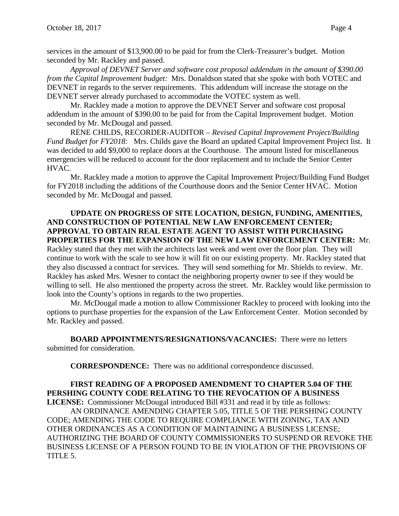services in the amount of \$13,900.00 to be paid for from the Clerk-Treasurer's budget. Motion seconded by Mr. Rackley and passed.

*Approval of DEVNET Server and software cost proposal addendum in the amount of \$390.00 from the Capital Improvement budget:* Mrs. Donaldson stated that she spoke with both VOTEC and DEVNET in regards to the server requirements. This addendum will increase the storage on the DEVNET server already purchased to accommodate the VOTEC system as well.

Mr. Rackley made a motion to approve the DEVNET Server and software cost proposal addendum in the amount of \$390.00 to be paid for from the Capital Improvement budget. Motion seconded by Mr. McDougal and passed.

RENE CHILDS, RECORDER-AUDITOR – *Revised Capital Improvement Project/Building Fund Budget for FY2018:* Mrs. Childs gave the Board an updated Capital Improvement Project list. It was decided to add \$9,000 to replace doors at the Courthouse. The amount listed for miscellaneous emergencies will be reduced to account for the door replacement and to include the Senior Center HVAC.

Mr. Rackley made a motion to approve the Capital Improvement Project/Building Fund Budget for FY2018 including the additions of the Courthouse doors and the Senior Center HVAC. Motion seconded by Mr. McDougal and passed.

# **UPDATE ON PROGRESS OF SITE LOCATION, DESIGN, FUNDING, AMENITIES, AND CONSTRUCTION OF POTENTIAL NEW LAW ENFORCEMENT CENTER; APPROVAL TO OBTAIN REAL ESTATE AGENT TO ASSIST WITH PURCHASING PROPERTIES FOR THE EXPANSION OF THE NEW LAW ENFORCEMENT CENTER:** Mr.

Rackley stated that they met with the architects last week and went over the floor plan. They will continue to work with the scale to see how it will fit on our existing property. Mr. Rackley stated that they also discussed a contract for services. They will send something for Mr. Shields to review. Mr. Rackley has asked Mrs. Wesner to contact the neighboring property owner to see if they would be willing to sell. He also mentioned the property across the street. Mr. Rackley would like permission to look into the County's options in regards to the two properties.

Mr. McDougal made a motion to allow Commissioner Rackley to proceed with looking into the options to purchase properties for the expansion of the Law Enforcement Center. Motion seconded by Mr. Rackley and passed.

**BOARD APPOINTMENTS/RESIGNATIONS/VACANCIES:** There were no letters submitted for consideration.

**CORRESPONDENCE:** There was no additional correspondence discussed.

#### **FIRST READING OF A PROPOSED AMENDMENT TO CHAPTER 5.04 OF THE PERSHING COUNTY CODE RELATING TO THE REVOCATION OF A BUSINESS LICENSE:** Commissioner McDougal introduced Bill #331 and read it by title as follows:

AN ORDINANCE AMENDING CHAPTER 5.05, TITLE 5 OF THE PERSHING COUNTY CODE; AMENDING THE CODE TO REQUIRE COMPLIANCE WITH ZONING, TAX AND OTHER ORDINANCES AS A CONDITION OF MAINTAINING A BUSINESS LICENSE; AUTHORIZING THE BOARD OF COUNTY COMMISSIONERS TO SUSPEND OR REVOKE THE BUSINESS LICENSE OF A PERSON FOUND TO BE IN VIOLATION OF THE PROVISIONS OF TITLE 5.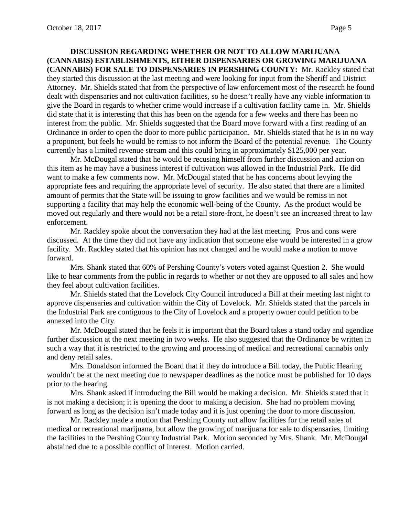**DISCUSSION REGARDING WHETHER OR NOT TO ALLOW MARIJUANA (CANNABIS) ESTABLISHMENTS, EITHER DISPENSARIES OR GROWING MARIJUANA (CANNABIS) FOR SALE TO DISPENSARIES IN PERSHING COUNTY:** Mr. Rackley stated that they started this discussion at the last meeting and were looking for input from the Sheriff and District Attorney. Mr. Shields stated that from the perspective of law enforcement most of the research he found dealt with dispensaries and not cultivation facilities, so he doesn't really have any viable information to give the Board in regards to whether crime would increase if a cultivation facility came in. Mr. Shields did state that it is interesting that this has been on the agenda for a few weeks and there has been no interest from the public. Mr. Shields suggested that the Board move forward with a first reading of an Ordinance in order to open the door to more public participation. Mr. Shields stated that he is in no way a proponent, but feels he would be remiss to not inform the Board of the potential revenue. The County currently has a limited revenue stream and this could bring in approximately \$125,000 per year.

Mr. McDougal stated that he would be recusing himself from further discussion and action on this item as he may have a business interest if cultivation was allowed in the Industrial Park. He did want to make a few comments now. Mr. McDougal stated that he has concerns about levying the appropriate fees and requiring the appropriate level of security. He also stated that there are a limited amount of permits that the State will be issuing to grow facilities and we would be remiss in not supporting a facility that may help the economic well-being of the County. As the product would be moved out regularly and there would not be a retail store-front, he doesn't see an increased threat to law enforcement.

Mr. Rackley spoke about the conversation they had at the last meeting. Pros and cons were discussed. At the time they did not have any indication that someone else would be interested in a grow facility. Mr. Rackley stated that his opinion has not changed and he would make a motion to move forward.

Mrs. Shank stated that 60% of Pershing County's voters voted against Question 2. She would like to hear comments from the public in regards to whether or not they are opposed to all sales and how they feel about cultivation facilities.

Mr. Shields stated that the Lovelock City Council introduced a Bill at their meeting last night to approve dispensaries and cultivation within the City of Lovelock. Mr. Shields stated that the parcels in the Industrial Park are contiguous to the City of Lovelock and a property owner could petition to be annexed into the City.

Mr. McDougal stated that he feels it is important that the Board takes a stand today and agendize further discussion at the next meeting in two weeks. He also suggested that the Ordinance be written in such a way that it is restricted to the growing and processing of medical and recreational cannabis only and deny retail sales.

Mrs. Donaldson informed the Board that if they do introduce a Bill today, the Public Hearing wouldn't be at the next meeting due to newspaper deadlines as the notice must be published for 10 days prior to the hearing.

Mrs. Shank asked if introducing the Bill would be making a decision. Mr. Shields stated that it is not making a decision; it is opening the door to making a decision. She had no problem moving forward as long as the decision isn't made today and it is just opening the door to more discussion.

Mr. Rackley made a motion that Pershing County not allow facilities for the retail sales of medical or recreational marijuana, but allow the growing of marijuana for sale to dispensaries, limiting the facilities to the Pershing County Industrial Park. Motion seconded by Mrs. Shank. Mr. McDougal abstained due to a possible conflict of interest. Motion carried.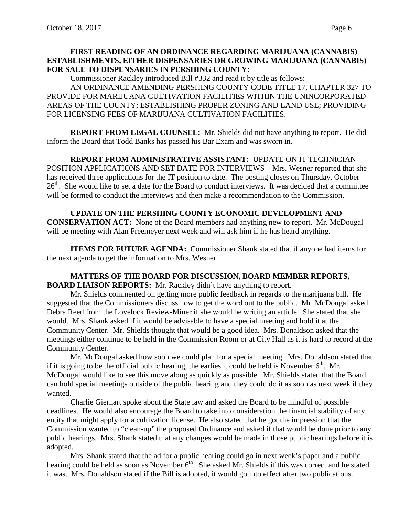# **FIRST READING OF AN ORDINANCE REGARDING MARIJUANA (CANNABIS) ESTABLISHMENTS, EITHER DISPENSARIES OR GROWING MARIJUANA (CANNABIS) FOR SALE TO DISPENSARIES IN PERSHING COUNTY:**

Commissioner Rackley introduced Bill #332 and read it by title as follows:

AN ORDINANCE AMENDING PERSHING COUNTY CODE TITLE 17, CHAPTER 327 TO PROVIDE FOR MARIJUANA CULTIVATION FACILITIES WITHIN THE UNINCORPORATED AREAS OF THE COUNTY; ESTABLISHING PROPER ZONING AND LAND USE; PROVIDING FOR LICENSING FEES OF MARIJUANA CULTIVATION FACILITIES.

**REPORT FROM LEGAL COUNSEL:** Mr. Shields did not have anything to report. He did inform the Board that Todd Banks has passed his Bar Exam and was sworn in.

**REPORT FROM ADMINISTRATIVE ASSISTANT:** UPDATE ON IT TECHNICIAN POSITION APPLICATIONS AND SET DATE FOR INTERVIEWS – Mrs. Wesner reported that she has received three applications for the IT position to date. The posting closes on Thursday, October  $26<sup>th</sup>$ . She would like to set a date for the Board to conduct interviews. It was decided that a committee will be formed to conduct the interviews and then make a recommendation to the Commission.

**UPDATE ON THE PERSHING COUNTY ECONOMIC DEVELOPMENT AND CONSERVATION ACT:** None of the Board members had anything new to report. Mr. McDougal will be meeting with Alan Freemeyer next week and will ask him if he has heard anything.

**ITEMS FOR FUTURE AGENDA:** Commissioner Shank stated that if anyone had items for the next agenda to get the information to Mrs. Wesner.

**MATTERS OF THE BOARD FOR DISCUSSION, BOARD MEMBER REPORTS, BOARD LIAISON REPORTS:** Mr. Rackley didn't have anything to report.

Mr. Shields commented on getting more public feedback in regards to the marijuana bill. He suggested that the Commissioners discuss how to get the word out to the public. Mr. McDougal asked Debra Reed from the Lovelock Review-Miner if she would be writing an article. She stated that she would. Mrs. Shank asked if it would be advisable to have a special meeting and hold it at the Community Center. Mr. Shields thought that would be a good idea. Mrs. Donaldson asked that the meetings either continue to be held in the Commission Room or at City Hall as it is hard to record at the Community Center.

Mr. McDougal asked how soon we could plan for a special meeting. Mrs. Donaldson stated that if it is going to be the official public hearing, the earlies it could be held is November  $6<sup>th</sup>$ . Mr. McDougal would like to see this move along as quickly as possible. Mr. Shields stated that the Board can hold special meetings outside of the public hearing and they could do it as soon as next week if they wanted.

Charlie Gierhart spoke about the State law and asked the Board to be mindful of possible deadlines. He would also encourage the Board to take into consideration the financial stability of any entity that might apply for a cultivation license. He also stated that he got the impression that the Commission wanted to "clean-up" the proposed Ordinance and asked if that would be done prior to any public hearings. Mrs. Shank stated that any changes would be made in those public hearings before it is adopted.

Mrs. Shank stated that the ad for a public hearing could go in next week's paper and a public hearing could be held as soon as November  $6<sup>th</sup>$ . She asked Mr. Shields if this was correct and he stated it was. Mrs. Donaldson stated if the Bill is adopted, it would go into effect after two publications.